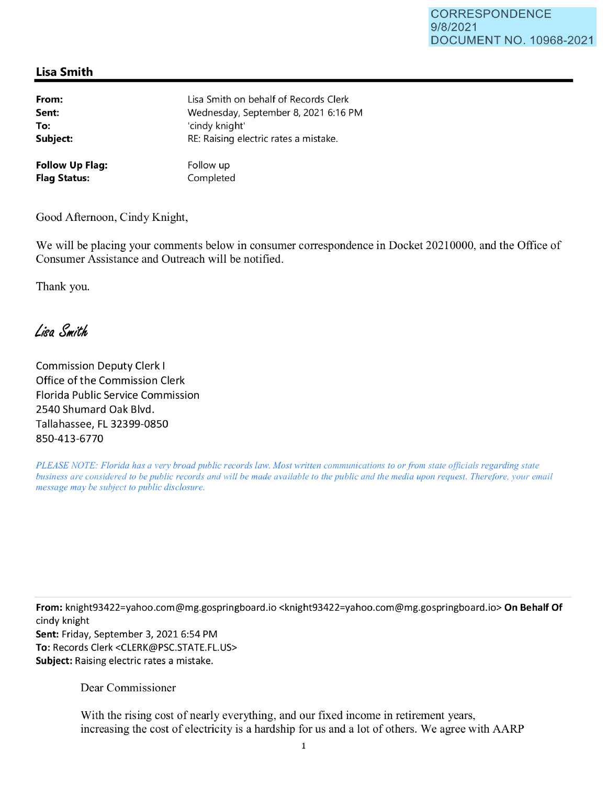## **Lisa Smith**

| From:                  | Lisa Smith on behalf of Records Clerk |
|------------------------|---------------------------------------|
| Sent:                  | Wednesday, September 8, 2021 6:16 PM  |
| To:                    | 'cindy knight'                        |
| Subject:               | RE: Raising electric rates a mistake. |
| <b>Follow Up Flag:</b> | Follow up                             |
| <b>Flag Status:</b>    | Completed                             |

Good Afternoon, Cindy Knight,

We will be placing your comments below in consumer correspondence in Docket 20210000, and the Office of Consumer Assistance and Outreach will be notified.

Thank you.

Lisa Smith

Commission Deputy Clerk I Office of the Commission Clerk Florida Public Service Commission 2540 Shumard Oak Blvd. Tallahassee, FL 32399-0850 850-413-6770

*PLEASE NOTE: Florida has a very broad public records law. Most written communications to or from state officials regarding state business are considered to be public records and will be made available to the public and the media upon request. Therefore, your email message may be subject to public disclosure.* 

**From:** knight93422=yahoo.com@mg.gospringboard.io <knight93422=yahoo.com@mg.gospringboard.io> **On Behalf Of**  cindy knight **Sent:** Friday, September 3, 2021 6:54 PM **To:** Records Clerk <CLERK@PSC.STATE.FL.US> **Subject:** Raising electric rates a mistake.

Dear Commissioner

With the rising cost of nearly everything, and our fixed income in retirement years, increasing the cost of electricity is a hardship for us and a lot of others. We agree with AARP